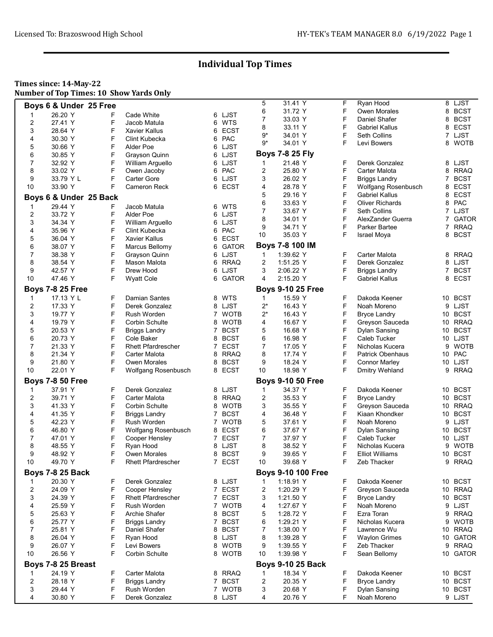#### Times since: 14-May-22 Number of Top Times: 10 Show Yards Only

|    |                         |   |                           |                |             | 5            | 31.41 Y                   | F | Ryan Hood              |                | 8 LJST      |
|----|-------------------------|---|---------------------------|----------------|-------------|--------------|---------------------------|---|------------------------|----------------|-------------|
|    | Boys 6 & Under 25 Free  |   |                           |                |             | 6            | 31.72 Y                   | F | <b>Owen Morales</b>    | 8              | <b>BCST</b> |
| 1  | 26.20 Y                 | F | Cade White                |                | 6 LJST      | 7            | 33.03 Y                   | F | Daniel Shafer          | 8              | <b>BCST</b> |
| 2  | 27.41 Y                 | F | Jacob Matula              | 6              | WTS         |              |                           |   |                        |                |             |
| 3  | 28.64 Y                 | F | <b>Xavier Kallus</b>      | 6              | ECST        | 8            | 33.11 Y                   | F | <b>Gabriel Kallus</b>  | 8              | ECST        |
| 4  | 30.30 Y                 | F | Clint Kubecka             | 6              | PAC         | $9*$         | 34.01 Y                   | F | Seth Collins           | $\overline{7}$ | LJST        |
| 5  | 30.66 Y                 | F | Alder Poe                 |                | 6 LJST      | 9*           | 34.01 Y                   | F | Levi Bowers            | 8              | <b>WOTB</b> |
| 6  | 30.85 Y                 | F |                           |                | 6 LJST      |              | <b>Boys 7-8 25 Fly</b>    |   |                        |                |             |
|    |                         |   | Grayson Quinn             |                |             |              |                           |   |                        |                |             |
| 7  | 32.92 Y                 | F | William Arguello          |                | 6 LJST      | 1            | 21.48 Y                   | F | Derek Gonzalez         | 8              | LJST        |
| 8  | 33.02 Y                 | F | Owen Jacoby               |                | 6 PAC       | 2            | 25.80 Y                   | F | Carter Malota          | 8              | <b>RRAQ</b> |
| 9  | 33.79 Y L               | F | <b>Carter Gore</b>        | 6              | LJST        | 3            | 26.02 Y                   | F | <b>Briggs Landry</b>   | 7              | <b>BCST</b> |
| 10 | 33.90 Y                 | F | <b>Cameron Reck</b>       |                | 6 ECST      | 4            | 28.78 Y                   | F | Wolfgang Rosenbusch    | 8              | <b>ECST</b> |
|    | Boys 6 & Under 25 Back  |   |                           |                |             | 5            | 29.16 Y                   | F | <b>Gabriel Kallus</b>  | 8              | ECST        |
|    |                         |   |                           |                |             | 6            | 33.63 Y                   | F | <b>Oliver Richards</b> | 8              | PAC         |
| 1  | 29.44 Y                 | F | Jacob Matula              | 6              | WTS         | 7            | 33.67 Y                   | F | Seth Collins           |                | 7 LJST      |
| 2  | 33.72 Y                 | F | Alder Poe                 |                | 6 LJST      | 8            | 34.01 Y                   | F | AlexZander Guerra      |                | 7 GATOR     |
| 3  | 34.34 Y                 | F | William Arguello          | 6              | LJST        | 9            | 34.71 Y                   | F | Parker Bartee          | 7              | <b>RRAQ</b> |
| 4  | 35.96 Y                 | F | Clint Kubecka             | 6              | PAC         | 10           | 35.03 Y                   | F |                        |                | 8 BCST      |
| 5  | 36.04 Y                 | F | <b>Xavier Kallus</b>      | 6              | <b>ECST</b> |              |                           |   | Israel Moya            |                |             |
| 6  | 38.07 Y                 | F | Marcus Bellomy            | 6              | GATOR       |              | Boys 7-8 100 IM           |   |                        |                |             |
| 7  | 38.38 Y                 | F | Grayson Quinn             |                | 6 LJST      | 1            | 1:39.62 Y                 | F | Carter Malota          | 8              | <b>RRAQ</b> |
| 8  | 38.54 Y                 | F | Mason Malota              |                | 6 RRAQ      | 2            | 1:51.25 Y                 | F | Derek Gonzalez         | 8              | LJST        |
| 9  | 42.57 Y                 | F | Drew Hood                 | 6              | LJST        | 3            | 2:06.22 Y                 | F |                        | 7              | <b>BCST</b> |
|    |                         |   |                           |                |             |              |                           |   | <b>Briggs Landry</b>   |                |             |
| 10 | 47.46 Y                 | F | <b>Wyatt Cole</b>         |                | 6 GATOR     | 4            | 2:15.20 Y                 | F | <b>Gabriel Kallus</b>  | 8              | <b>ECST</b> |
|    | <b>Boys 7-8 25 Free</b> |   |                           |                |             |              | <b>Boys 9-10 25 Free</b>  |   |                        |                |             |
| 1  | 17.13 Y L               | F | Damian Santes             | 8.             | <b>WTS</b>  | $\mathbf{1}$ | 15.59 Y                   | F | Dakoda Keener          | 10             | <b>BCST</b> |
| 2  | 17.33 Y                 | F | Derek Gonzalez            |                | 8 LJST      | 2*           | 16.43 Y                   | F | Noah Moreno            |                | 9 LJST      |
| 3  |                         | F | Rush Worden               |                | 7 WOTB      | $2^*$        |                           | F |                        |                | 10 BCST     |
|    | 19.77 Y                 |   |                           |                |             |              | 16.43 Y                   |   | <b>Bryce Landry</b>    |                |             |
| 4  | 19.79 Y                 | F | <b>Corbin Schulte</b>     | 8              | <b>WOTB</b> | 4            | 16.67 Y                   | F | Greyson Sauceda        | 10             | <b>RRAQ</b> |
| 5  | 20.53 Y                 | F | <b>Briggs Landry</b>      |                | 7 BCST      | 5            | 16.68 Y                   | F | <b>Dylan Sansing</b>   | 10             | <b>BCST</b> |
| 6  | 20.73 Y                 | F | Cole Baker                | 8              | <b>BCST</b> | 6            | 16.98 Y                   | F | Caleb Tucker           |                | 10 LJST     |
| 7  | 21.33 Y                 | F | <b>Rhett Pfardrescher</b> | $\overline{7}$ | <b>ECST</b> | 7            | 17.05 Y                   | F | Nicholas Kucera        | 9              | <b>WOTB</b> |
| 8  | 21.34 Y                 | F | Carter Malota             |                | 8 RRAQ      | 8            | 17.74 Y                   | F | Patrick Obenhaus       |                | 10 PAC      |
| 9  | 21.80 Y                 | F | <b>Owen Morales</b>       | 8              | <b>BCST</b> | 9            | 18.24 Y                   | F | <b>Connor Marley</b>   |                | 10 LJST     |
| 10 | 22.01 Y                 | F | Wolfgang Rosenbusch       |                | 8 ECST      | 10           | 18.98 Y                   | F | Dmitry Wehland         | 9              | <b>RRAQ</b> |
|    |                         |   |                           |                |             |              |                           |   |                        |                |             |
|    | <b>Boys 7-8 50 Free</b> |   |                           |                |             |              | <b>Boys 9-10 50 Free</b>  |   |                        |                |             |
| 1  | 37.91 Y                 | F | Derek Gonzalez            |                | 8 LJST      | 1            | 34.37 Y                   | F | Dakoda Keener          | 10             | <b>BCST</b> |
| 2  | 39.71 Y                 | F | Carter Malota             |                | 8 RRAQ      | 2            | 35.53 Y                   | F | <b>Bryce Landry</b>    | 10             | <b>BCST</b> |
| 3  | 41.33 Y                 | F | Corbin Schulte            | 8              | <b>WOTB</b> | 3            | 35.55 Y                   | F | Greyson Sauceda        | 10             | <b>RRAQ</b> |
| 4  | 41.35 Y                 | F | <b>Briggs Landry</b>      | $\mathbf{7}$   | <b>BCST</b> | 4            | 36.48 Y                   | F | Kiaan Khondker         | 10             | <b>BCST</b> |
| 5  | 42.23 Y                 | F | Rush Worden               |                | 7 WOTB      | 5            | 37.61 Y                   | F | Noah Moreno            |                | 9 LJST      |
| 6  | 46.80 Y                 | F | Wolfgang Rosenbusch       |                | 8 ECST      | 6            | 37.67 Y                   | F | Dylan Sansing          |                | 10 BCST     |
| 7  | 47.01 Y                 | F |                           | $7^{\circ}$    | <b>ECST</b> | 7            | 37.97 Y                   | F | <b>Caleb Tucker</b>    |                | LJST        |
|    |                         |   | Cooper Hensley            |                |             |              |                           |   |                        | 10             |             |
| 8  | 48.55 Y                 | F | Ryan Hood                 | 8              | LJST        | 8            | 38.52 Y                   | F | Nicholas Kucera        | 9              | <b>WOTB</b> |
| 9  | 48.92 Y                 | F | <b>Owen Morales</b>       |                | 8 BCST      | 9            | 39.65 Y                   | F | <b>Elliot Williams</b> |                | 10 BCST     |
| 10 | 49.70 Y                 | F | <b>Rhett Pfardrescher</b> |                | 7 ECST      | 10           | 39.68 Y                   | F | Zeb Thacker            |                | 9 RRAQ      |
|    | <b>Boys 7-8 25 Back</b> |   |                           |                |             |              | <b>Boys 9-10 100 Free</b> |   |                        |                |             |
| 1  | 20.30 Y                 | F | Derek Gonzalez            |                | 8 LJST      | 1            | 1:18.91 Y                 | F | Dakoda Keener          | 10             | <b>BCST</b> |
|    |                         | F |                           |                |             |              |                           |   |                        |                | 10 RRAQ     |
| 2  | 24.09 Y                 |   | Cooper Hensley            |                | 7 ECST      | 2            | 1:20.29 Y                 | F | Greyson Sauceda        |                |             |
| 3  | 24.39 Y                 | F | <b>Rhett Pfardrescher</b> |                | 7 ECST      | 3            | 1:21.50 Y                 | F | <b>Bryce Landry</b>    |                | 10 BCST     |
| 4  | 25.59 Y                 | F | Rush Worden               | 7              | <b>WOTB</b> | 4            | 1:27.67 Y                 | F | Noah Moreno            |                | 9 LJST      |
| 5  | 25.63 Y                 | F | Archie Shafer             | 8              | <b>BCST</b> | 5            | 1:28.72 Y                 | F | Ezra Toran             | 9              | <b>RRAQ</b> |
| 6  | 25.77 Y                 | F | <b>Briggs Landry</b>      | 7.             | <b>BCST</b> | 6            | 1:29.21 Y                 | F | Nicholas Kucera        | 9              | <b>WOTB</b> |
| 7  | 25.81 Y                 | F | Daniel Shafer             | 8              | <b>BCST</b> | 7            | 1:38.00 Y                 | F | Lawrence Wu            | 10             | <b>RRAQ</b> |
| 8  | 26.04 Y                 | F | Ryan Hood                 |                | 8 LJST      | 8            | 1:39.28 Y                 | F | <b>Waylon Grimes</b>   |                | 10 GATOR    |
| 9  | 26.07 Y                 | F | Levi Bowers               | 8              | <b>WOTB</b> | 9            | 1:39.55 Y                 | F | Zeb Thacker            | 9              | RRAQ        |
| 10 | 26.56 Y                 | F | Corbin Schulte            |                | 8 WOTB      | 10           | 1:39.98 Y                 | F | Sean Bellomy           |                | 10 GATOR    |
|    |                         |   |                           |                |             |              |                           |   |                        |                |             |
|    | Boys 7-8 25 Breast      |   |                           |                |             |              | <b>Boys 9-10 25 Back</b>  |   |                        |                |             |
| 1  | 24.19 Y                 | F | Carter Malota             |                | 8 RRAQ      | 1            | 18.34 Y                   | F | Dakoda Keener          |                | 10 BCST     |
| 2  | 28.18 Y                 | F | <b>Briggs Landry</b>      |                | 7 BCST      | 2            | 20.35 Y                   | F | <b>Bryce Landry</b>    |                | 10 BCST     |
| 3  | 29.44 Y                 | F | Rush Worden               | 7              | <b>WOTB</b> | 3            | 20.68 Y                   | F | Dylan Sansing          |                | 10 BCST     |
| 4  | 30.80 Y                 | F | Derek Gonzalez            |                | 8 LJST      | 4            | 20.76 Y                   | F | Noah Moreno            |                | 9 LJST      |
|    |                         |   |                           |                |             |              |                           |   |                        |                |             |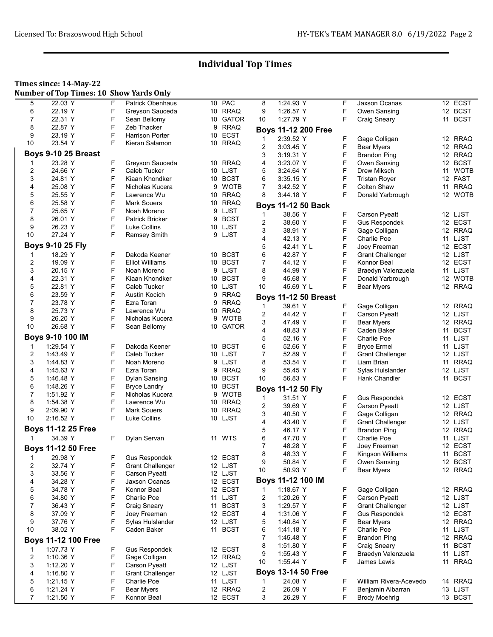### Times since: 14-May-22

|  | <b>Number of Top Times: 10 Show Yards Only</b> |
|--|------------------------------------------------|
|  |                                                |

| 5              | 22.03 Y                    | F | <b>Patrick Obenhaus</b> |    | 10 PAC       | 8              | 1:24.93 Y                   | F | Jaxson Ocanas           | 12 ECST    |  |
|----------------|----------------------------|---|-------------------------|----|--------------|----------------|-----------------------------|---|-------------------------|------------|--|
| 6              | 22.19 Y                    | F | Greyson Sauceda         |    | 10 RRAQ      | 9              | 1:26.57 Y                   | F | Owen Sansing            | 12 BCST    |  |
| 7              | 22.31 Y                    | F | Sean Bellomy            | 10 | <b>GATOR</b> | 10             | 1:27.79 Y                   | F | <b>Craig Sneary</b>     | 11 BCST    |  |
| 8              | 22.87 Y                    | F | Zeb Thacker             | 9  | <b>RRAQ</b>  |                |                             |   |                         |            |  |
| 9              | 23.19 Y                    | F | <b>Harrison Porter</b>  |    | 10 ECST      |                | <b>Boys 11-12 200 Free</b>  |   |                         |            |  |
|                |                            |   |                         |    |              | $\mathbf{1}$   | 2:39.52 Y                   | F | Gage Colligan           | 12 RRAQ    |  |
| 10             | 23.54 Y                    | F | Kieran Salamon          | 10 | <b>RRAQ</b>  | 2              | 3:03.45 Y                   | F | <b>Bear Myers</b>       | 12 RRAQ    |  |
|                | Boys 9-10 25 Breast        |   |                         |    |              | 3              | 3:19.31 Y                   | F | <b>Brandon Ping</b>     | 12 RRAQ    |  |
|                | 23.28 Y                    | F | Greyson Sauceda         |    | 10 RRAQ      | 4              | 3:23.07 Y                   | F |                         | 12 BCST    |  |
| 1              |                            |   |                         |    |              |                |                             |   | Owen Sansing            |            |  |
| 2              | 24.66 Y                    | F | Caleb Tucker            |    | 10 LJST      | 5              | 3:24.64 Y                   | F | Drew Miksch             | 11 WOTB    |  |
| 3              | 24.81 Y                    | F | Kiaan Khondker          |    | 10 BCST      | 6              | 3:35.15 Y                   | F | <b>Tristan Royer</b>    | 12 FAST    |  |
| 4              | 25.08 Y                    | F | Nicholas Kucera         | 9  | <b>WOTB</b>  | $\overline{7}$ | 3:42.52 Y                   | F | Colten Shaw             | 11 RRAQ    |  |
| 5              | 25.55 Y                    | F | Lawrence Wu             |    | 10 RRAQ      | 8              | 3.44.18 Y                   | F | Donald Yarbrough        | 12 WOTB    |  |
| 6              | 25.58 Y                    | F | Mark Souers             | 10 | <b>RRAQ</b>  |                |                             |   |                         |            |  |
| 7              |                            | F |                         |    |              |                | <b>Boys 11-12 50 Back</b>   |   |                         |            |  |
|                | 25.65 Y                    |   | Noah Moreno             | 9  | LJST         | 1              | 38.56 Y                     | F | Carson Pyeatt           | 12 LJST    |  |
| 8              | 26.01 Y                    | F | <b>Patrick Bricker</b>  | 9  | <b>BCST</b>  | 2              | 38.60 Y                     | F | <b>Gus Respondek</b>    | 12 ECST    |  |
| 9              | 26.23 Y                    | F | Luke Collins            |    | 10 LJST      | 3              | 38.91 Y                     | F | Gage Colligan           | 12 RRAQ    |  |
| 10             | 27.24 Y                    | F | Ramsey Smith            |    | 9 LJST       |                |                             |   |                         |            |  |
|                |                            |   |                         |    |              | 4              | 42.13 Y                     | F | Charlie Poe             | 11 LJST    |  |
|                | <b>Boys 9-10 25 Fly</b>    |   |                         |    |              | 5              | 42.41 Y L                   | F | Joey Freeman            | 12 ECST    |  |
| 1              | 18.29 Y                    | F | Dakoda Keener           |    | 10 BCST      | 6              | 42.87 Y                     | F | <b>Grant Challenger</b> | 12 LJST    |  |
| 2              | 19.09 Y                    | F | <b>Elliot Williams</b>  |    | 10 BCST      | 7              | 44.12 Y                     | F | Konnor Beal             | 12 ECST    |  |
| 3              | 20.15 Y                    | F | Noah Moreno             | 9  | LJST         | 8              | 44.99 Y                     | F | Braedyn Valenzuela      | 11 LJST    |  |
|                |                            |   |                         |    |              |                |                             | F |                         |            |  |
| 4              | 22.31 Y                    | F | Kiaan Khondker          | 10 | <b>BCST</b>  | 9              | 45.68 Y                     |   | Donald Yarbrough        | 12 WOTB    |  |
| 5              | 22.81 Y                    | F | Caleb Tucker            |    | 10 LJST      | 10             | 45.69 Y L                   | F | Bear Myers              | 12 RRAQ    |  |
| 6              | 23.59 Y                    | F | Austin Kocich           | 9  | <b>RRAQ</b>  |                | <b>Boys 11-12 50 Breast</b> |   |                         |            |  |
| 7              | 23.78 Y                    | F | Ezra Toran              | 9  | <b>RRAQ</b>  |                |                             |   |                         |            |  |
| 8              | 25.73 Y                    | F | Lawrence Wu             |    | 10 RRAQ      | 1              | 39.61 Y                     | F | Gage Colligan           | 12 RRAQ    |  |
| 9              | 26.20 Y                    | F | Nicholas Kucera         | 9  | <b>WOTB</b>  | 2              | 44.42 Y                     | F | <b>Carson Pyeatt</b>    | 12 LJST    |  |
|                |                            | F |                         |    |              | 3              | 47.49 Y                     | F | <b>Bear Myers</b>       | 12 RRAQ    |  |
| 10             | 26.68 Y                    |   | Sean Bellomy            | 10 | <b>GATOR</b> | 4              | 48.83 Y                     | F | Caden Baker             | 11 BCST    |  |
|                | Boys 9-10 100 IM           |   |                         |    |              | 5              | 52.16 Y                     | F | Charlie Poe             | 11 LJST    |  |
| $\mathbf{1}$   | 1:29.54 Y                  | F | Dakoda Keener           | 10 | <b>BCST</b>  | 6              | 52.66 Y                     | F | <b>Bryce Ermel</b>      | 11 LJST    |  |
|                |                            |   |                         |    |              |                |                             |   |                         |            |  |
| 2              | 1.43.49 Y                  | F | Caleb Tucker            |    | 10 LJST      | 7              | 52.89 Y                     | F | <b>Grant Challenger</b> | 12 LJST    |  |
| 3              | 1.44.83 Y                  | F | Noah Moreno             | 9  | LJST         | 8              | 53.54 Y                     | F | Liam Brian              | 11 RRAQ    |  |
| 4              | 1:45.63 Y                  | F | Ezra Toran              | 9  | <b>RRAQ</b>  | 9              | 55.45 Y                     | F | Sylas Hulslander        | 12 LJST    |  |
| 5              | 1:46.48 Y                  | F | Dylan Sansing           |    | 10 BCST      | 10             | 56.83 Y                     | F | Hank Chandler           | 11 BCST    |  |
| 6              | 1:48.26 Y                  | F | <b>Bryce Landry</b>     | 10 | <b>BCST</b>  |                |                             |   |                         |            |  |
| $\overline{7}$ |                            | F |                         |    |              |                | Boys 11-12 50 Fly           |   |                         |            |  |
|                | 1:51.92 Y                  |   | Nicholas Kucera         | 9  | <b>WOTB</b>  | 1              | 31.51 Y                     | F | <b>Gus Respondek</b>    | 12 ECST    |  |
| 8              | 1:54.38 Y                  | F | Lawrence Wu             |    | 10 RRAQ      | 2              | 39.69 Y                     | F | <b>Carson Pyeatt</b>    | 12 LJST    |  |
| 9              | 2:09.90 Y                  | F | <b>Mark Souers</b>      | 10 | <b>RRAQ</b>  | 3              | 40.50 Y                     | F | Gage Colligan           | 12 RRAQ    |  |
| 10             | 2:16.52 Y                  | F | Luke Collins            | 10 | LJST         |                |                             |   |                         |            |  |
|                |                            |   |                         |    |              | 4              | 43.40 Y                     | F | <b>Grant Challenger</b> | 12 LJST    |  |
|                | <b>Boys 11-12 25 Free</b>  |   |                         |    |              | 5              | 46.17 Y                     | F | <b>Brandon Ping</b>     | 12 RRAQ    |  |
| 1              | 34.39 Y                    | F | Dylan Servan            |    | 11 WTS       | 6              | 47.70 Y                     | F | Charlie Poe             | LJST<br>11 |  |
|                | <b>Boys 11-12 50 Free</b>  |   |                         |    |              | 7              | 48.28 Y                     | F | Joey Freeman            | 12 ECST    |  |
|                |                            |   |                         |    |              | 8              | 48.33 Y                     | F | Kingson Williams        | 11 BCST    |  |
|                | 1 29.98 Y                  | F | Gus Respondek           |    | 12 ECST      |                | 50.84 Y                     | F |                         |            |  |
| 2              | 32.74 Y                    | F | <b>Grant Challenger</b> |    | 12 LJST      | 9              |                             |   | Owen Sansing            | 12 BCST    |  |
| 3              | 33.56 Y                    | F | Carson Pyeatt           |    | 12 LJST      | 10             | 50.93 Y                     | F | <b>Bear Myers</b>       | 12 RRAQ    |  |
| 4              | 34.28 Y                    | F | Jaxson Ocanas           |    | 12 ECST      |                | Boys 11-12 100 IM           |   |                         |            |  |
|                |                            | F |                         |    |              |                |                             |   |                         |            |  |
| 5              | 34.78 Y                    |   | Konnor Beal             |    | 12 ECST      | 1              | 1:18.67 Y                   | F | Gage Colligan           | 12 RRAQ    |  |
| 6              | 34.80 Y                    | F | Charlie Poe             |    | 11 LJST      | 2              | 1:20.26 Y                   | F | <b>Carson Pyeatt</b>    | 12 LJST    |  |
| 7              | 36.43 Y                    | F | <b>Craig Sneary</b>     |    | 11 BCST      | 3              | 1:29.57 Y                   | F | <b>Grant Challenger</b> | 12 LJST    |  |
| 8              | 37.09 Y                    | F | Joey Freeman            |    | 12 ECST      | 4              | 1:31.06 Y                   | F | Gus Respondek           | 12 ECST    |  |
| 9              | 37.76 Y                    | F | Sylas Hulslander        |    | 12 LJST      | 5              | 1:40.84 Y                   | F | <b>Bear Myers</b>       | 12 RRAQ    |  |
| 10             | 38.02 Y                    | F | Caden Baker             |    | 11 BCST      | 6              | 1:41.18 Y                   | F | Charlie Poe             | 11 LJST    |  |
|                |                            |   |                         |    |              |                |                             |   |                         |            |  |
|                | <b>Boys 11-12 100 Free</b> |   |                         |    |              | 7              | 1:45.48 Y                   | F | <b>Brandon Ping</b>     | 12 RRAQ    |  |
| 1              | 1:07.73 Y                  | F | <b>Gus Respondek</b>    |    | 12 ECST      | 8              | 1:51.80 Y                   | F | <b>Craig Sneary</b>     | 11 BCST    |  |
|                | 1:10.36 Y                  |   | Gage Colligan           |    |              | 9              | 1:55.43 Y                   | F | Braedyn Valenzuela      | 11 LJST    |  |
| 2              |                            | F |                         |    | 12 RRAQ      | 10             | 1:55.44 Y                   | F | James Lewis             | 11 RRAQ    |  |
| 3              | 1:12.20 Y                  | F | Carson Pyeatt           |    | 12 LJST      |                |                             |   |                         |            |  |
| 4              | 1:16.80 Y                  | F | <b>Grant Challenger</b> |    | 12 LJST      |                | <b>Boys 13-14 50 Free</b>   |   |                         |            |  |
| 5              | 1:21.15 Y                  | F | Charlie Poe             |    | 11 LJST      | 1              | 24.08 Y                     | F | William Rivera-Acevedo  | 14 RRAQ    |  |
| 6              | 1.21.24 Y                  | F | <b>Bear Myers</b>       |    | 12 RRAQ      | 2              | 26.09 Y                     | F | Benjamin Albarran       | 13 LJST    |  |
| 7              | 1.21.50 Y                  | F | Konnor Beal             |    | 12 ECST      | 3              | 26.29 Y                     | F | <b>Brody Moehrig</b>    | 13 BCST    |  |
|                |                            |   |                         |    |              |                |                             |   |                         |            |  |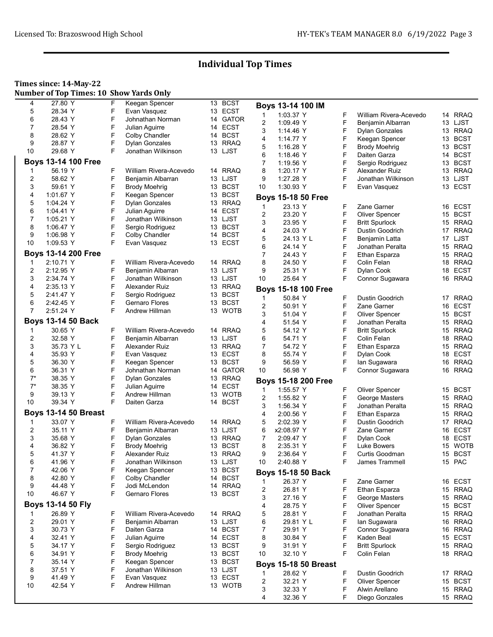#### Times since: 14-May-22

Number of Top Times: 10 Show Yards Only

| 4              | 27.80 Y                     | F      | Keegan Spencer         |          | 13 BCST             |                | Boys 13-14 100 IM           |   |                        |    |             |
|----------------|-----------------------------|--------|------------------------|----------|---------------------|----------------|-----------------------------|---|------------------------|----|-------------|
| 5              | 28.34 Y                     | F      | Evan Vasquez           |          | 13 ECST             | $\mathbf 1$    | 1:03.37 Y                   | F | William Rivera-Acevedo |    | 14 RRAQ     |
| 6              | 28.43 Y                     | F      | Johnathan Norman       |          | 14 GATOR            | $\overline{2}$ | 1:09.49 Y                   | F | Benjamin Albarran      |    | 13 LJST     |
| 7              | 28.54 Y                     | F      | Julian Aguirre         | 14       | <b>ECST</b>         | 3              | 1:14.46 Y                   | F | <b>Dylan Gonzales</b>  |    | 13 RRAQ     |
| 8              | 28.62 Y                     | F      | Colby Chandler         |          | 14 BCST             | $\overline{4}$ | 1:14.77 Y                   | F | Keegan Spencer         |    | 13 BCST     |
| 9              | 28.87 Y                     | F      | <b>Dylan Gonzales</b>  |          | 13 RRAQ             | 5              | 1:16.28 Y                   | F | <b>Brody Moehrig</b>   |    | 13 BCST     |
| 10             | 29.68 Y                     | F      | Jonathan Wilkinson     |          | 13 LJST             | 6              | 1:18.46 Y                   | F | Daiten Garza           |    | 14 BCST     |
|                | <b>Boys 13-14 100 Free</b>  |        |                        |          |                     | $\overline{7}$ | 1:19.56 Y                   | F | Sergio Rodriguez       |    | 13 BCST     |
| -1             | 56.19 Y                     | F      | William Rivera-Acevedo |          | 14 RRAQ             | 8              | 1:20.17 Y                   | F | Alexander Ruiz         |    | 13 RRAQ     |
| $\overline{2}$ | 58.62 Y                     | F      | Benjamin Albarran      |          | 13 LJST             | 9              | 1:27.28 Y                   | F | Jonathan Wilkinson     |    | 13 LJST     |
|                |                             | F      |                        |          | <b>BCST</b>         | 10             |                             | F |                        |    | 13 ECST     |
| 3              | 59.61 Y                     | F      | <b>Brody Moehrig</b>   | 13       | <b>BCST</b>         |                | 1:30.93 Y                   |   | Evan Vasquez           |    |             |
| 4              | 1:01.67 Y                   | F      | Keegan Spencer         | 13       |                     |                | Boys 15-18 50 Free          |   |                        |    |             |
| 5              | 1.04.24 Y                   | F      | <b>Dylan Gonzales</b>  |          | 13 RRAQ<br>14 ECST  | 1              | 23.13 Y                     | F | Zane Garner            |    | 16 ECST     |
| 6              | 1:04.41 Y                   |        | Julian Aguirre         |          |                     | 2              | 23.20 Y                     | F | <b>Oliver Spencer</b>  |    | 15 BCST     |
| $\overline{7}$ | 1:05.21 Y                   | F      | Jonathan Wilkinson     |          | 13 LJST             | 3              | 23.95 Y                     | F | <b>Britt Spurlock</b>  |    | 15 RRAQ     |
| 8              | 1:06.47 Y                   | F      | Sergio Rodriguez       |          | 13 BCST             | 4              | 24.03 Y                     | F | Dustin Goodrich        |    | 17 RRAQ     |
| 9              | 1:06.98 Y                   | F      | Colby Chandler         | 14       | <b>BCST</b>         | 5              | 24.13 Y L                   | F | Benjamin Latta         | 17 | LJST        |
| 10             | 1:09.53 Y                   | F      | Evan Vasquez           | 13       | ECST                | 6              | 24.14 Y                     | F | Jonathan Peralta       |    | 15 RRAQ     |
|                | <b>Boys 13-14 200 Free</b>  |        |                        |          |                     | $\overline{7}$ | 24.43 Y                     | F | Ethan Esparza          |    | 15 RRAQ     |
| 1              | 2:10.71 Y                   | F      | William Rivera-Acevedo |          | 14 RRAQ             | 8              | 24.50 Y                     | F | Colin Felan            | 18 | <b>RRAQ</b> |
| $\overline{2}$ | 2:12.95 Y                   | F      | Benjamin Albarran      |          | 13 LJST             | 9              | 25.31 Y                     | F | Dylan Cook             |    | 18 ECST     |
| 3              | 2:34.74 Y                   | F      | Jonathan Wilkinson     |          | 13 LJST             | 10             | 25.64 Y                     | F | Connor Sugawara        |    | 16 RRAQ     |
| 4              | 2:35.13 Y                   | F      | Alexander Ruiz         |          | 13 RRAQ             |                |                             |   |                        |    |             |
| 5              | 2:41.47 Y                   | F      | Sergio Rodriguez       |          | 13 BCST             |                | <b>Boys 15-18 100 Free</b>  |   |                        |    |             |
| 6              | 2:42.45 Y                   | F      | Gernaro Flores         | 13       | <b>BCST</b>         | 1              | 50.84 Y                     | F | Dustin Goodrich        |    | 17 RRAQ     |
| 7              | 2:51.24 Y                   | F      | Andrew Hillman         | 13       | <b>WOTB</b>         | 2              | 50.91 Y                     | F | Zane Garner            |    | 16 ECST     |
|                |                             |        |                        |          |                     | 3              | 51.04 Y                     | F | <b>Oliver Spencer</b>  |    | 15 BCST     |
|                | <b>Boys 13-14 50 Back</b>   |        |                        |          |                     | 4              | 51.54 Y                     | F | Jonathan Peralta       |    | 15 RRAQ     |
| $\mathbf 1$    | 30.65 Y                     | F      | William Rivera-Acevedo |          | 14 RRAQ             | 5              | 54.12 Y                     | F | <b>Britt Spurlock</b>  |    | 15 RRAQ     |
| $\overline{2}$ | 32.58 Y                     | F      | Benjamin Albarran      |          | 13 LJST             | 6              | 54.71 Y                     | F | Colin Felan            |    | 18 RRAQ     |
| 3              | 35.73 Y L                   | F      | Alexander Ruiz         |          | 13 RRAQ             | $\overline{7}$ | 54.72 Y                     | F | Ethan Esparza          |    | 15 RRAQ     |
| 4              | 35.93 Y                     | F      | Evan Vasquez           |          | 13 ECST             | 8              | 55.74 Y                     | F | Dylan Cook             | 18 | <b>ECST</b> |
| 5              | 36.30 Y                     | F      | Keegan Spencer         |          | 13 BCST             | 9              | 56.59 Y                     | F | lan Sugawara           | 16 | <b>RRAQ</b> |
| 6              | 36.31 Y                     | F      | Johnathan Norman       |          | 14 GATOR            | 10             | 56.98 Y                     | F | Connor Sugawara        | 16 | <b>RRAQ</b> |
| $7^*$          | 38.35 Y                     | F      | <b>Dylan Gonzales</b>  |          | 13 RRAQ             |                | <b>Boys 15-18 200 Free</b>  |   |                        |    |             |
| $7^*$          | 38.35 Y                     | F      | Julian Aguirre         |          | 14 ECST             | 1              | 1:55.57 Y                   | F | Oliver Spencer         |    | 15 BCST     |
| 9              | 39.13 Y                     | F      | Andrew Hillman         |          | 13 WOTB             | 2              | 1:55.82 Y                   | F | George Masters         |    | 15 RRAQ     |
| 10             | 39.34 Y                     | F      | Daiten Garza           |          | 14 BCST             | 3              | 1:56.34 Y                   | F | Jonathan Peralta       |    | 15 RRAQ     |
|                | <b>Boys 13-14 50 Breast</b> |        |                        |          |                     | 4              | 2:00.56 Y                   | F | Ethan Esparza          |    | 15 RRAQ     |
| -1             | 33.07 Y                     | F      | William Rivera-Acevedo |          | 14 RRAQ             | 5              | 2:02.39 Y                   | F | Dustin Goodrich        | 17 | <b>RRAQ</b> |
| 2              | 35.11 Y                     | F      | Benjamin Albarran      |          | 13 LJST             | 6              | x2:08.97 Y                  | F | Zane Garner            |    | 16 ECST     |
| 3              | 35.68 Y                     | F      | <b>Dylan Gonzales</b>  |          | 13 RRAQ             | 7              | 2:09.47 Y                   | F | Dylan Cook             |    | 18 ECST     |
| 4              | 36.82 Y                     | F      | <b>Brody Moehrig</b>   | 13       | <b>BCST</b>         | 8              | 2:35.31 Y                   | F | Luke Bowers            | 15 | <b>WOTB</b> |
| 5              | 41.37 Y                     | F      | Alexander Ruiz         |          | 13 RRAQ             | 9              | 2:36.64 Y                   | F | Curtis Goodman         |    | 15 BCST     |
|                | 41.96 Y                     |        |                        |          |                     |                |                             |   |                        |    |             |
| 6<br>7         | 42.06 Y                     | F<br>F | Jonathan Wilkinson     | 13<br>13 | LJST<br><b>BCST</b> | 10             | 2:40.88 Y                   | F | James Trammell         |    | 15 PAC      |
|                |                             | F      | Keegan Spencer         |          | 14 BCST             |                | <b>Boys 15-18 50 Back</b>   |   |                        |    |             |
| 8<br>9         | 42.80 Y                     | F      | <b>Colby Chandler</b>  |          |                     | 1              | 26.37 Y                     | F | Zane Garner            |    | 16 ECST     |
|                | 44.48 Y                     | F      | Jodi McLendon          |          | 14 RRAQ             | 2              | 26.81 Y                     | F | Ethan Esparza          |    | 15 RRAQ     |
| 10             | 46.67 Y                     |        | <b>Gernaro Flores</b>  |          | 13 BCST             | 3              | 27.16 Y                     | F | George Masters         |    | 15 RRAQ     |
|                | Boys 13-14 50 Fly           |        |                        |          |                     | 4              | 28.75 Y                     | F | <b>Oliver Spencer</b>  |    | 15 BCST     |
|                | 26.89 Y                     | F      | William Rivera-Acevedo |          | 14 RRAQ             | 5              | 28.81 Y                     | F | Jonathan Peralta       |    | 15 RRAQ     |
| 2              | 29.01 Y                     | F      | Benjamin Albarran      | 13       | LJST                | 6              | 29.81 Y L                   | F | lan Sugawara           |    | 16 RRAQ     |
| 3              | 30.73 Y                     | F      | Daiten Garza           | 14       | <b>BCST</b>         | $\overline{7}$ | 29.91 Y                     | F | Connor Sugawara        |    | 16 RRAQ     |
| 4              | 32.41 Y                     | F      | Julian Aguirre         | 14       | <b>ECST</b>         | 8              | 30.84 Y                     | F | Kaden Beal             |    | 15 ECST     |
| 5              | 34.17 Y                     | F      | Sergio Rodriguez       |          | 13 BCST             | 9              | 31.91 Y                     | F | <b>Britt Spurlock</b>  |    | 15 RRAQ     |
| 6              | 34.91 Y                     | F      | <b>Brody Moehrig</b>   |          | 13 BCST             | 10             | 32.10 Y                     | F | Colin Felan            |    | 18 RRAQ     |
| 7              | 35.14 Y                     | F      | Keegan Spencer         |          | 13 BCST             |                | <b>Boys 15-18 50 Breast</b> |   |                        |    |             |
| 8              | 37.51 Y                     | F      | Jonathan Wilkinson     |          | 13 LJST             |                |                             |   |                        |    |             |
| 9              | 41.49 Y                     | F      | Evan Vasquez           |          | 13 ECST             | 1              | 28.62 Y                     | F | Dustin Goodrich        |    | 17 RRAQ     |
| 10             | 42.54 Y                     | F      | Andrew Hillman         | 13       | WOTB                | $\overline{c}$ | 32.21 Y                     | F | <b>Oliver Spencer</b>  |    | 15 BCST     |
|                |                             |        |                        |          |                     | 3              | 32.33 Y                     | F | Alwin Arellano         |    | 15 RRAQ     |
|                |                             |        |                        |          |                     | 4              | 32.36 Y                     | F | Diego Gonzales         |    | 15 RRAQ     |